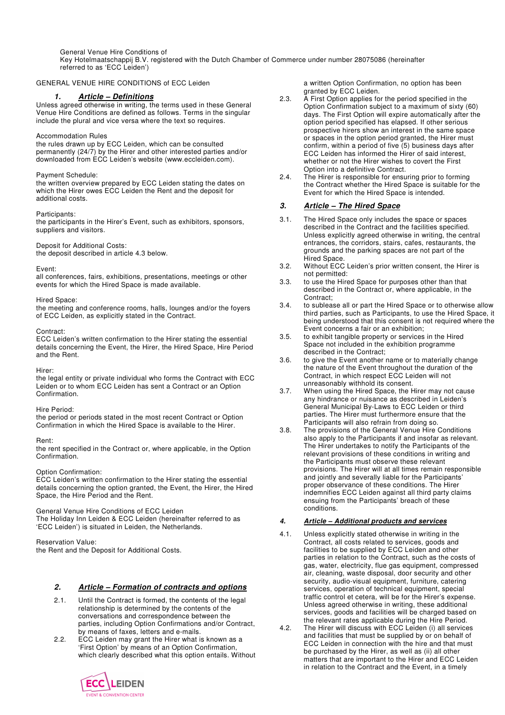General Venue Hire Conditions of

Key Hotelmaatschappij B.V. registered with the Dutch Chamber of Commerce under number 28075086 (hereinafter referred to as 'ECC Leiden')

## GENERAL VENUE HIRE CONDITIONS of ECC Leiden

## **1. Article – Definitions**

Unless agreed otherwise in writing, the terms used in these General Venue Hire Conditions are defined as follows. Terms in the singular include the plural and vice versa where the text so requires.

#### Accommodation Rules

the rules drawn up by ECC Leiden, which can be consulted permanently (24/7) by the Hirer and other interested parties and/or downloaded from ECC Leiden's website (www.eccleiden.com).

#### Payment Schedule:

the written overview prepared by ECC Leiden stating the dates on which the Hirer owes ECC Leiden the Rent and the deposit for additional costs.

#### Participants:

the participants in the Hirer's Event, such as exhibitors, sponsors, suppliers and visitors.

### Deposit for Additional Costs:

the deposit described in article 4.3 below.

#### Event:

all conferences, fairs, exhibitions, presentations, meetings or other events for which the Hired Space is made available.

#### Hired Space:

the meeting and conference rooms, halls, lounges and/or the foyers of ECC Leiden, as explicitly stated in the Contract.

#### Contract:

ECC Leiden's written confirmation to the Hirer stating the essential details concerning the Event, the Hirer, the Hired Space, Hire Period and the Rent.

Hirer:

the legal entity or private individual who forms the Contract with ECC Leiden or to whom ECC Leiden has sent a Contract or an Option Confirmation.

#### Hire Period:

the period or periods stated in the most recent Contract or Option Confirmation in which the Hired Space is available to the Hirer.

#### Rent:

the rent specified in the Contract or, where applicable, in the Option Confirmation.

#### Option Confirmation:

ECC Leiden's written confirmation to the Hirer stating the essential details concerning the option granted, the Event, the Hirer, the Hired Space, the Hire Period and the Rent.

General Venue Hire Conditions of ECC Leiden

The Holiday Inn Leiden & ECC Leiden (hereinafter referred to as 'ECC Leiden') is situated in Leiden, the Netherlands.

Reservation Value: the Rent and the Deposit for Additional Costs.

## **2. Article – Formation of contracts and options**

- 2.1. Until the Contract is formed, the contents of the legal relationship is determined by the contents of the conversations and correspondence between the parties, including Option Confirmations and/or Contract, by means of faxes, letters and e-mails.
- 2.2. ECC Leiden may grant the Hirer what is known as a 'First Option' by means of an Option Confirmation, which clearly described what this option entails. Without



a written Option Confirmation, no option has been granted by ECC Leiden.

- 2.3. A First Option applies for the period specified in the Option Confirmation subject to a maximum of sixty (60) days. The First Option will expire automatically after the option period specified has elapsed. If other serious prospective hirers show an interest in the same space or spaces in the option period granted, the Hirer must confirm, within a period of five (5) business days after ECC Leiden has informed the Hirer of said interest, whether or not the Hirer wishes to covert the First Option into a definitive Contract.
- 2.4. The Hirer is responsible for ensuring prior to forming the Contract whether the Hired Space is suitable for the Event for which the Hired Space is intended.

## **3. Article – The Hired Space**

- 3.1. The Hired Space only includes the space or spaces described in the Contract and the facilities specified. Unless explicitly agreed otherwise in writing, the central entrances, the corridors, stairs, cafes, restaurants, the grounds and the parking spaces are not part of the Hired Space.
- 3.2. Without ECC Leiden's prior written consent, the Hirer is not permitted:
- 3.3. to use the Hired Space for purposes other than that described in the Contract or, where applicable, in the Contract;
- 3.4. to sublease all or part the Hired Space or to otherwise allow third parties, such as Participants, to use the Hired Space, it being understood that this consent is not required where the Event concerns a fair or an exhibition;
- 3.5. to exhibit tangible property or services in the Hired Space not included in the exhibition programme described in the Contract;
- 3.6. to give the Event another name or to materially change the nature of the Event throughout the duration of the Contract, in which respect ECC Leiden will not unreasonably withhold its consent.
- 3.7. When using the Hired Space, the Hirer may not cause any hindrance or nuisance as described in Leiden's General Municipal By-Laws to ECC Leiden or third parties. The Hirer must furthermore ensure that the Participants will also refrain from doing so.
- 3.8. The provisions of the General Venue Hire Conditions also apply to the Participants if and insofar as relevant. The Hirer undertakes to notify the Participants of the relevant provisions of these conditions in writing and the Participants must observe these relevant provisions. The Hirer will at all times remain responsible and jointly and severally liable for the Participants' proper observance of these conditions. The Hirer indemnifies ECC Leiden against all third party claims ensuing from the Participants' breach of these conditions.

#### **4. Article – Additional products and services**

- 4.1. Unless explicitly stated otherwise in writing in the Contract, all costs related to services, goods and facilities to be supplied by ECC Leiden and other parties in relation to the Contract, such as the costs of gas, water, electricity, flue gas equipment, compressed air, cleaning, waste disposal, door security and other security, audio-visual equipment, furniture, catering services, operation of technical equipment, special traffic control et cetera, will be for the Hirer's expense. Unless agreed otherwise in writing, these additional services, goods and facilities will be charged based on the relevant rates applicable during the Hire Period.
- 4.2. The Hirer will discuss with ECC Leiden (i) all services and facilities that must be supplied by or on behalf of ECC Leiden in connection with the hire and that must be purchased by the Hirer, as well as (ii) all other matters that are important to the Hirer and ECC Leiden in relation to the Contract and the Event, in a timely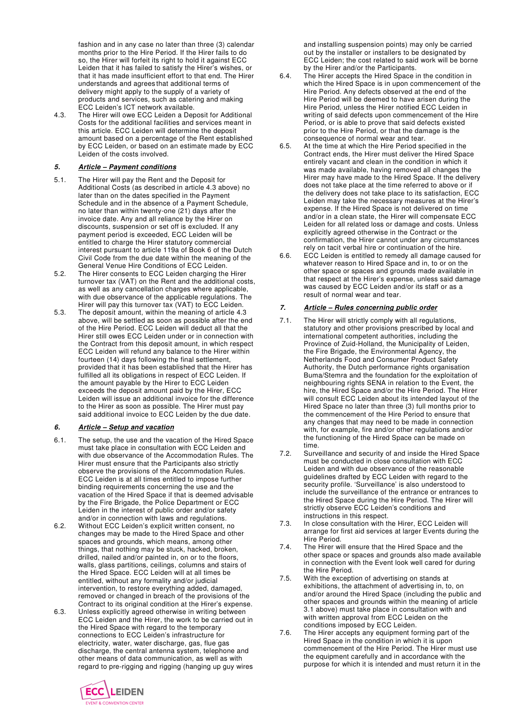fashion and in any case no later than three (3) calendar months prior to the Hire Period. If the Hirer fails to do so, the Hirer will forfeit its right to hold it against ECC Leiden that it has failed to satisfy the Hirer's wishes, or that it has made insufficient effort to that end. The Hirer understands and agrees that additional terms of delivery might apply to the supply of a variety of products and services, such as catering and making ECC Leiden's ICT network available.

4.3. The Hirer will owe ECC Leiden a Deposit for Additional Costs for the additional facilities and services meant in this article. ECC Leiden will determine the deposit amount based on a percentage of the Rent established by ECC Leiden, or based on an estimate made by ECC Leiden of the costs involved.

# **5. Article – Payment conditions**

- 5.1. The Hirer will pay the Rent and the Deposit for Additional Costs (as described in article 4.3 above) no later than on the dates specified in the Payment Schedule and in the absence of a Payment Schedule, no later than within twenty-one (21) days after the invoice date. Any and all reliance by the Hirer on discounts, suspension or set off is excluded. If any payment period is exceeded, ECC Leiden will be entitled to charge the Hirer statutory commercial interest pursuant to article 119a of Book 6 of the Dutch Civil Code from the due date within the meaning of the General Venue Hire Conditions of ECC Leiden.
- 5.2. The Hirer consents to ECC Leiden charging the Hirer turnover tax (VAT) on the Rent and the additional costs, as well as any cancellation charges where applicable, with due observance of the applicable regulations. The Hirer will pay this turnover tax (VAT) to ECC Leiden.
- 5.3. The deposit amount, within the meaning of article 4.3 above, will be settled as soon as possible after the end of the Hire Period. ECC Leiden will deduct all that the Hirer still owes ECC Leiden under or in connection with the Contract from this deposit amount, in which respect ECC Leiden will refund any balance to the Hirer within fourteen (14) days following the final settlement, provided that it has been established that the Hirer has fulfilled all its obligations in respect of ECC Leiden. If the amount payable by the Hirer to ECC Leiden exceeds the deposit amount paid by the Hirer, ECC Leiden will issue an additional invoice for the difference to the Hirer as soon as possible. The Hirer must pay said additional invoice to ECC Leiden by the due date.

## **6. Article – Setup and vacation**

- 6.1. The setup, the use and the vacation of the Hired Space must take place in consultation with ECC Leiden and with due observance of the Accommodation Rules. The Hirer must ensure that the Participants also strictly observe the provisions of the Accommodation Rules. ECC Leiden is at all times entitled to impose further binding requirements concerning the use and the vacation of the Hired Space if that is deemed advisable by the Fire Brigade, the Police Department or ECC Leiden in the interest of public order and/or safety and/or in connection with laws and regulations.
- 6.2. Without ECC Leiden's explicit written consent, no changes may be made to the Hired Space and other spaces and grounds, which means, among other things, that nothing may be stuck, hacked, broken, drilled, nailed and/or painted in, on or to the floors, walls, glass partitions, ceilings, columns and stairs of the Hired Space. ECC Leiden will at all times be entitled, without any formality and/or judicial intervention, to restore everything added, damaged, removed or changed in breach of the provisions of the Contract to its original condition at the Hirer's expense.
- 6.3. Unless explicitly agreed otherwise in writing between ECC Leiden and the Hirer, the work to be carried out in the Hired Space with regard to the temporary connections to ECC Leiden's infrastructure for electricity, water, water discharge, gas, flue gas discharge, the central antenna system, telephone and other means of data communication, as well as with regard to pre-rigging and rigging (hanging up guy wires

and installing suspension points) may only be carried out by the installer or installers to be designated by ECC Leiden; the cost related to said work will be borne by the Hirer and/or the Participants.

- 6.4. The Hirer accepts the Hired Space in the condition in which the Hired Space is in upon commencement of the Hire Period. Any defects observed at the end of the Hire Period will be deemed to have arisen during the Hire Period, unless the Hirer notified ECC Leiden in writing of said defects upon commencement of the Hire Period, or is able to prove that said defects existed prior to the Hire Period, or that the damage is the consequence of normal wear and tear.
- 6.5. At the time at which the Hire Period specified in the Contract ends, the Hirer must deliver the Hired Space entirely vacant and clean in the condition in which it was made available, having removed all changes the Hirer may have made to the Hired Space. If the delivery does not take place at the time referred to above or if the delivery does not take place to its satisfaction, ECC Leiden may take the necessary measures at the Hirer's expense. If the Hired Space is not delivered on time and/or in a clean state, the Hirer will compensate ECC Leiden for all related loss or damage and costs. Unless explicitly agreed otherwise in the Contract or the confirmation, the Hirer cannot under any circumstances rely on tacit verbal hire or continuation of the hire.
- 6.6. ECC Leiden is entitled to remedy all damage caused for whatever reason to Hired Space and in, to or on the other space or spaces and grounds made available in that respect at the Hirer's expense, unless said damage was caused by ECC Leiden and/or its staff or as a result of normal wear and tear.

### **7. Article – Rules concerning public order**

- 7.1. The Hirer will strictly comply with all regulations, statutory and other provisions prescribed by local and international competent authorities, including the Province of Zuid-Holland, the Municipality of Leiden, the Fire Brigade, the Environmental Agency, the Netherlands Food and Consumer Product Safety Authority, the Dutch performance rights organisation Buma/Stemra and the foundation for the exploitation of neighbouring rights SENA in relation to the Event, the hire, the Hired Space and/or the Hire Period. The Hirer will consult ECC Leiden about its intended layout of the Hired Space no later than three (3) full months prior to the commencement of the Hire Period to ensure that any changes that may need to be made in connection with, for example, fire and/or other regulations and/or the functioning of the Hired Space can be made on time.
- 7.2. Surveillance and security of and inside the Hired Space must be conducted in close consultation with ECC Leiden and with due observance of the reasonable guidelines drafted by ECC Leiden with regard to the security profile. 'Surveillance' is also understood to include the surveillance of the entrance or entrances to the Hired Space during the Hire Period. The Hirer will strictly observe ECC Leiden's conditions and instructions in this respect.
- 7.3. In close consultation with the Hirer, ECC Leiden will arrange for first aid services at larger Events during the Hire Period.
- 7.4. The Hirer will ensure that the Hired Space and the other space or spaces and grounds also made available in connection with the Event look well cared for during the Hire Period.
- 7.5. With the exception of advertising on stands at exhibitions, the attachment of advertising in, to, on and/or around the Hired Space (including the public and other spaces and grounds within the meaning of article 3.1 above) must take place in consultation with and with written approval from ECC Leiden on the conditions imposed by ECC Leiden.
- 7.6. The Hirer accepts any equipment forming part of the Hired Space in the condition in which it is upon commencement of the Hire Period. The Hirer must use the equipment carefully and in accordance with the purpose for which it is intended and must return it in the

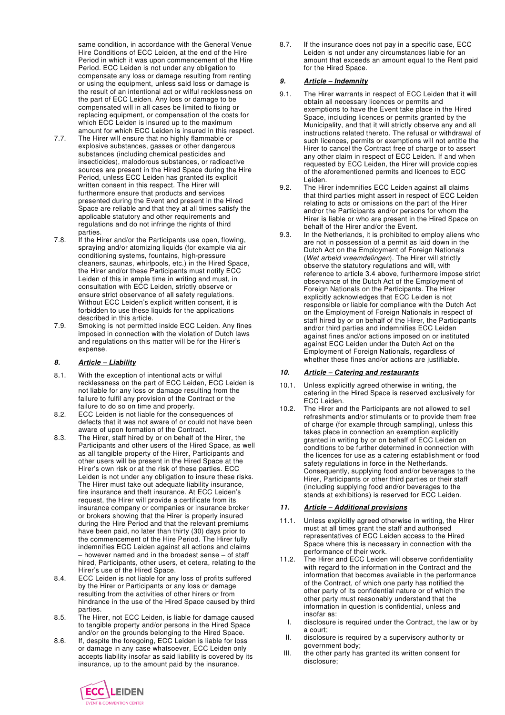same condition, in accordance with the General Venue Hire Conditions of ECC Leiden, at the end of the Hire Period in which it was upon commencement of the Hire Period. ECC Leiden is not under any obligation to compensate any loss or damage resulting from renting or using the equipment, unless said loss or damage is the result of an intentional act or wilful recklessness on the part of ECC Leiden. Any loss or damage to be compensated will in all cases be limited to fixing or replacing equipment, or compensation of the costs for which ECC Leiden is insured up to the maximum amount for which ECC Leiden is insured in this respect.

- 7.7. The Hirer will ensure that no highly flammable or explosive substances, gasses or other dangerous substances (including chemical pesticides and insecticides), malodorous substances, or radioactive sources are present in the Hired Space during the Hire Period, unless ECC Leiden has granted its explicit written consent in this respect. The Hirer will furthermore ensure that products and services presented during the Event and present in the Hired Space are reliable and that they at all times satisfy the applicable statutory and other requirements and regulations and do not infringe the rights of third parties.
- 7.8. If the Hirer and/or the Participants use open, flowing, spraying and/or atomizing liquids (for example via air conditioning systems, fountains, high-pressure cleaners, saunas, whirlpools, etc.) in the Hired Space, the Hirer and/or these Participants must notify ECC Leiden of this in ample time in writing and must, in consultation with ECC Leiden, strictly observe or ensure strict observance of all safety regulations. Without ECC Leiden's explicit written consent, it is forbidden to use these liquids for the applications described in this article.
- 7.9. Smoking is not permitted inside ECC Leiden. Any fines imposed in connection with the violation of Dutch laws and regulations on this matter will be for the Hirer's expense.

## **8. Article – Liability**

- 8.1. With the exception of intentional acts or wilful recklessness on the part of ECC Leiden, ECC Leiden is not liable for any loss or damage resulting from the failure to fulfil any provision of the Contract or the failure to do so on time and properly.
- 8.2. ECC Leiden is not liable for the consequences of defects that it was not aware of or could not have been aware of upon formation of the Contract.
- 8.3. The Hirer, staff hired by or on behalf of the Hirer, the Participants and other users of the Hired Space, as well as all tangible property of the Hirer, Participants and other users will be present in the Hired Space at the Hirer's own risk or at the risk of these parties. ECC Leiden is not under any obligation to insure these risks. The Hirer must take out adequate liability insurance, fire insurance and theft insurance. At ECC Leiden's request, the Hirer will provide a certificate from its insurance company or companies or insurance broker or brokers showing that the Hirer is properly insured during the Hire Period and that the relevant premiums have been paid, no later than thirty (30) days prior to the commencement of the Hire Period. The Hirer fully indemnifies ECC Leiden against all actions and claims – however named and in the broadest sense – of staff hired, Participants, other users, et cetera, relating to the Hirer's use of the Hired Space.
- 8.4. ECC Leiden is not liable for any loss of profits suffered by the Hirer or Participants or any loss or damage resulting from the activities of other hirers or from hindrance in the use of the Hired Space caused by third parties.
- 8.5. The Hirer, not ECC Leiden, is liable for damage caused to tangible property and/or persons in the Hired Space and/or on the grounds belonging to the Hired Space.
- 8.6. If, despite the foregoing, ECC Leiden is liable for loss or damage in any case whatsoever, ECC Leiden only accepts liability insofar as said liability is covered by its insurance, up to the amount paid by the insurance.

8.7. If the insurance does not pay in a specific case, ECC Leiden is not under any circumstances liable for an amount that exceeds an amount equal to the Rent paid for the Hired Space.

# **9. Article – Indemnity**

- 9.1. The Hirer warrants in respect of ECC Leiden that it will obtain all necessary licences or permits and exemptions to have the Event take place in the Hired Space, including licences or permits granted by the Municipality, and that it will strictly observe any and all instructions related thereto. The refusal or withdrawal of such licences, permits or exemptions will not entitle the Hirer to cancel the Contract free of charge or to assert any other claim in respect of ECC Leiden. If and when requested by ECC Leiden, the Hirer will provide copies of the aforementioned permits and licences to ECC Leiden.
- 9.2. The Hirer indemnifies ECC Leiden against all claims that third parties might assert in respect of ECC Leiden relating to acts or omissions on the part of the Hirer and/or the Participants and/or persons for whom the Hirer is liable or who are present in the Hired Space on behalf of the Hirer and/or the Event.
- 9.3. In the Netherlands, it is prohibited to employ aliens who are not in possession of a permit as laid down in the Dutch Act on the Employment of Foreign Nationals (Wet arbeid vreemdelingen). The Hirer will strictly observe the statutory regulations and will, with reference to article 3.4 above, furthermore impose strict observance of the Dutch Act of the Employment of Foreign Nationals on the Participants. The Hirer explicitly acknowledges that ECC Leiden is not responsible or liable for compliance with the Dutch Act on the Employment of Foreign Nationals in respect of staff hired by or on behalf of the Hirer, the Participants and/or third parties and indemnifies ECC Leiden against fines and/or actions imposed on or instituted against ECC Leiden under the Dutch Act on the Employment of Foreign Nationals, regardless of whether these fines and/or actions are justifiable.

# **10. Article – Catering and restaurants**

- 10.1. Unless explicitly agreed otherwise in writing, the catering in the Hired Space is reserved exclusively for ECC Leiden.
- 10.2. The Hirer and the Participants are not allowed to sell refreshments and/or stimulants or to provide them free of charge (for example through sampling), unless this takes place in connection an exemption explicitly granted in writing by or on behalf of ECC Leiden on conditions to be further determined in connection with the licences for use as a catering establishment or food safety regulations in force in the Netherlands. Consequently, supplying food and/or beverages to the Hirer, Participants or other third parties or their staff (including supplying food and/or beverages to the stands at exhibitions) is reserved for ECC Leiden.

## **11. Article – Additional provisions**

- 11.1. Unless explicitly agreed otherwise in writing, the Hirer must at all times grant the staff and authorised representatives of ECC Leiden access to the Hired Space where this is necessary in connection with the performance of their work.
- 11.2. The Hirer and ECC Leiden will observe confidentiality with regard to the information in the Contract and the information that becomes available in the performance of the Contract, of which one party has notified the other party of its confidential nature or of which the other party must reasonably understand that the information in question is confidential, unless and insofar as:
	- I. disclosure is required under the Contract, the law or by a court;
- II. disclosure is required by a supervisory authority or government body;
- III. the other party has granted its written consent for disclosure;

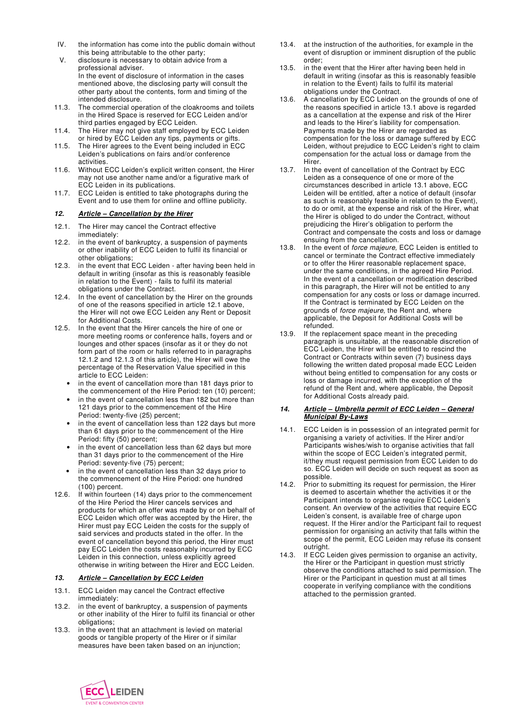- IV. the information has come into the public domain without this being attributable to the other party;
- V. disclosure is necessary to obtain advice from a professional adviser. In the event of disclosure of information in the cases mentioned above, the disclosing party will consult the other party about the contents, form and timing of the intended disclosure.
- 11.3. The commercial operation of the cloakrooms and toilets in the Hired Space is reserved for ECC Leiden and/or third parties engaged by ECC Leiden.
- 11.4. The Hirer may not give staff employed by ECC Leiden or hired by ECC Leiden any tips, payments or gifts.
- 11.5. The Hirer agrees to the Event being included in ECC Leiden's publications on fairs and/or conference activities.
- 11.6. Without ECC Leiden's explicit written consent, the Hirer may not use another name and/or a figurative mark of ECC Leiden in its publications.
- 11.7. ECC Leiden is entitled to take photographs during the Event and to use them for online and offline publicity.

### **12. Article – Cancellation by the Hirer**

- 12.1. The Hirer may cancel the Contract effective immediately:
- 12.2. in the event of bankruptcy, a suspension of payments or other inability of ECC Leiden to fulfil its financial or other obligations;
- 12.3. in the event that ECC Leiden after having been held in default in writing (insofar as this is reasonably feasible in relation to the Event) - fails to fulfil its material obligations under the Contract.
- 12.4. In the event of cancellation by the Hirer on the grounds of one of the reasons specified in article 12.1 above, the Hirer will not owe ECC Leiden any Rent or Deposit for Additional Costs.
- 12.5. In the event that the Hirer cancels the hire of one or more meeting rooms or conference halls, foyers and or lounges and other spaces (insofar as it or they do not form part of the room or halls referred to in paragraphs 12.1.2 and 12.1.3 of this article), the Hirer will owe the percentage of the Reservation Value specified in this article to ECC Leiden:
	- in the event of cancellation more than 181 days prior to the commencement of the Hire Period: ten (10) percent;
	- in the event of cancellation less than 182 but more than 121 days prior to the commencement of the Hire Period: twenty-five (25) percent;
	- in the event of cancellation less than 122 days but more than 61 days prior to the commencement of the Hire Period: fifty (50) percent;
	- in the event of cancellation less than 62 days but more than 31 days prior to the commencement of the Hire Period: seventy-five (75) percent;
	- in the event of cancellation less than 32 days prior to the commencement of the Hire Period: one hundred (100) percent.
- 12.6. If within fourteen (14) days prior to the commencement of the Hire Period the Hirer cancels services and products for which an offer was made by or on behalf of ECC Leiden which offer was accepted by the Hirer, the Hirer must pay ECC Leiden the costs for the supply of said services and products stated in the offer. In the event of cancellation beyond this period, the Hirer must pay ECC Leiden the costs reasonably incurred by ECC Leiden in this connection, unless explicitly agreed otherwise in writing between the Hirer and ECC Leiden.

## **13. Article – Cancellation by ECC Leiden**

- 13.1. ECC Leiden may cancel the Contract effective immediately:
- 13.2. in the event of bankruptcy, a suspension of payments or other inability of the Hirer to fulfil its financial or other obligations;
- 13.3. in the event that an attachment is levied on material goods or tangible property of the Hirer or if similar measures have been taken based on an injunction;
- 13.4. at the instruction of the authorities, for example in the event of disruption or imminent disruption of the public order;
- 13.5. in the event that the Hirer after having been held in default in writing (insofar as this is reasonably feasible in relation to the Event) fails to fulfil its material obligations under the Contract.
- 13.6. A cancellation by ECC Leiden on the grounds of one of the reasons specified in article 13.1 above is regarded as a cancellation at the expense and risk of the Hirer and leads to the Hirer's liability for compensation. Payments made by the Hirer are regarded as compensation for the loss or damage suffered by ECC Leiden, without prejudice to ECC Leiden's right to claim compensation for the actual loss or damage from the Hirer.
- 13.7. In the event of cancellation of the Contract by ECC Leiden as a consequence of one or more of the circumstances described in article 13.1 above, ECC Leiden will be entitled, after a notice of default (insofar as such is reasonably feasible in relation to the Event), to do or omit, at the expense and risk of the Hirer, what the Hirer is obliged to do under the Contract, without prejudicing the Hirer's obligation to perform the Contract and compensate the costs and loss or damage ensuing from the cancellation.
- 13.8. In the event of force majeure, ECC Leiden is entitled to cancel or terminate the Contract effective immediately or to offer the Hirer reasonable replacement space, under the same conditions, in the agreed Hire Period. In the event of a cancellation or modification described in this paragraph, the Hirer will not be entitled to any compensation for any costs or loss or damage incurred. If the Contract is terminated by ECC Leiden on the grounds of force majeure, the Rent and, where applicable, the Deposit for Additional Costs will be refunded.
- 13.9. If the replacement space meant in the preceding paragraph is unsuitable, at the reasonable discretion of ECC Leiden, the Hirer will be entitled to rescind the Contract or Contracts within seven (7) business days following the written dated proposal made ECC Leiden without being entitled to compensation for any costs or loss or damage incurred, with the exception of the refund of the Rent and, where applicable, the Deposit for Additional Costs already paid.

#### **14. Article – Umbrella permit of ECC Leiden – General Municipal By-Laws**

- 14.1. ECC Leiden is in possession of an integrated permit for organising a variety of activities. If the Hirer and/or Participants wishes/wish to organise activities that fall within the scope of ECC Leiden's integrated permit, it/they must request permission from ECC Leiden to do so. ECC Leiden will decide on such request as soon as possible.
- 14.2. Prior to submitting its request for permission, the Hirer is deemed to ascertain whether the activities it or the Participant intends to organise require ECC Leiden's consent. An overview of the activities that require ECC Leiden's consent, is available free of charge upon request. If the Hirer and/or the Participant fail to request permission for organising an activity that falls within the scope of the permit, ECC Leiden may refuse its consent outright.
- 14.3. If ECC Leiden gives permission to organise an activity, the Hirer or the Participant in question must strictly observe the conditions attached to said permission. The Hirer or the Participant in question must at all times cooperate in verifying compliance with the conditions attached to the permission granted.